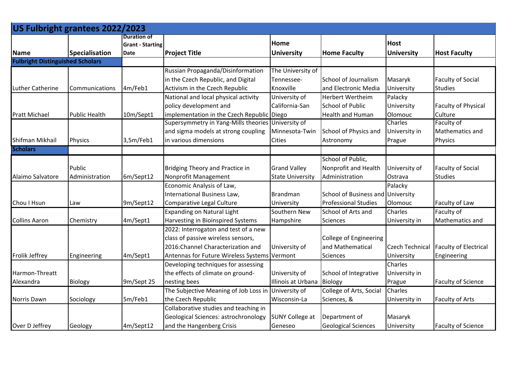| US Fulbright grantees 2022/2023         |                |                         |                                                     |                         |                             |                        |                              |
|-----------------------------------------|----------------|-------------------------|-----------------------------------------------------|-------------------------|-----------------------------|------------------------|------------------------------|
|                                         |                | <b>Duration of</b>      |                                                     | Home                    |                             | <b>Host</b>            |                              |
| <b>Name</b>                             | Specialisation | <b>Grant - Starting</b> |                                                     |                         | <b>Home Faculty</b>         | <b>University</b>      | <b>Host Faculty</b>          |
| <b>Fulbright Distinguished Scholars</b> |                | Date                    | <b>Project Title</b>                                | <b>University</b>       |                             |                        |                              |
|                                         |                |                         |                                                     |                         |                             |                        |                              |
|                                         |                |                         | Russian Propaganda/Disinformation                   | The University of       |                             |                        |                              |
|                                         |                |                         | in the Czech Republic, and Digital                  | Tennessee-              | School of Journalism        | Masaryk                | <b>Faculty of Social</b>     |
| <b>Luther Catherine</b>                 | Communications | 4m/Feb1                 | Activism in the Czech Republic                      | Knoxville               | and Electronic Media        | University             | <b>Studies</b>               |
|                                         |                |                         | National and local physical activity                | University of           | <b>Herbert Wertheim</b>     | Palacky                |                              |
|                                         |                |                         | policy development and                              | California-San          | <b>School of Public</b>     | University             | <b>Faculty of Physical</b>   |
| <b>Pratt Michael</b>                    | Public Health  | 10m/Sept1               | implementation in the Czech Republic Diego          |                         | <b>Health and Human</b>     | Olomouc                | Culture                      |
|                                         |                |                         | Supersymmetry in Yang-Mills theories                | University of           |                             | Charles                | Faculty of                   |
|                                         |                |                         | and sigma models at strong coupling                 | Minnesota-Twin          | School of Physics and       | University in          | Mathematics and              |
| Shifman Mikhail                         | Physics        | 3,5m/Feb1               | in various dimensions                               | <b>Cities</b>           | Astronomy                   | Prague                 | Physics                      |
| <b>Scholars</b>                         |                |                         |                                                     |                         |                             |                        |                              |
|                                         |                |                         |                                                     |                         | School of Public,           |                        |                              |
|                                         | Public         |                         | Bridging Theory and Practice in                     | <b>Grand Valley</b>     | Nonprofit and Health        | University of          | <b>Faculty of Social</b>     |
| Alaimo Salvatore                        | Administration | 6m/Sept12               | Nonprofit Management                                | <b>State University</b> | Administration              | Ostrava                | <b>Studies</b>               |
|                                         |                |                         | Economic Analysis of Law,                           |                         |                             | Palacky                |                              |
|                                         |                |                         | International Business Law,                         | Brandman                | School of Business and      | University             |                              |
| Chou I Hsun                             | Law            | 9m/Sept12               | Comparative Legal Culture                           | University              | <b>Professional Studies</b> | Olomouc                | Faculty of Law               |
|                                         |                |                         | <b>Expanding on Natural Light</b>                   | Southern New            | School of Arts and          | Charles                | Faculty of                   |
| <b>Collins Aaron</b>                    | Chemistry      | 4m/Sept1                | Harvesting in Bioinspired Systems                   | Hampshire               | <b>Sciences</b>             | University in          | Mathematics and              |
|                                         |                |                         | 2022: Interrogaton and test of a new                |                         |                             |                        |                              |
|                                         |                |                         | class of passive wireless sensors,                  |                         | College of Engineering      |                        |                              |
|                                         |                |                         | 2016: Channel Characterization and                  | University of           | and Mathematical            | <b>Czech Technical</b> | <b>Faculty of Electrical</b> |
| Frolik Jeffrey                          | Engineering    | 4m/Sept1                | Antennas for Future Wireless Systems Vermont        |                         | <b>Sciences</b>             | University             | Engineering                  |
|                                         |                |                         | Developing techniques for assessing                 |                         |                             | Charles                |                              |
| Harmon-Threatt                          |                |                         | the effects of climate on ground-                   | University of           | School of Integrative       | University in          |                              |
| Alexandra                               | Biology        | 9m/Sept 25              | nesting bees                                        | Illinois at Urbana      | Biology                     | Prague                 | <b>Faculty of Science</b>    |
|                                         |                |                         | The Subjective Meaning of Job Loss in University of |                         | College of Arts, Social     | Charles                |                              |
| Norris Dawn                             | Sociology      | 5m/Feb1                 | the Czech Republic                                  | Wisconsin-La            | Sciences, &                 | University in          | <b>Faculty of Arts</b>       |
|                                         |                |                         | Collaborative studies and teaching in               |                         |                             |                        |                              |
|                                         |                |                         | Geological Sciences: astrochronology                | <b>SUNY College at</b>  | Department of               | Masaryk                |                              |
| Over D Jeffrey                          | Geology        | 4m/Sept12               | and the Hangenberg Crisis                           | Geneseo                 | <b>Geological Sciences</b>  | University             | <b>Faculty of Science</b>    |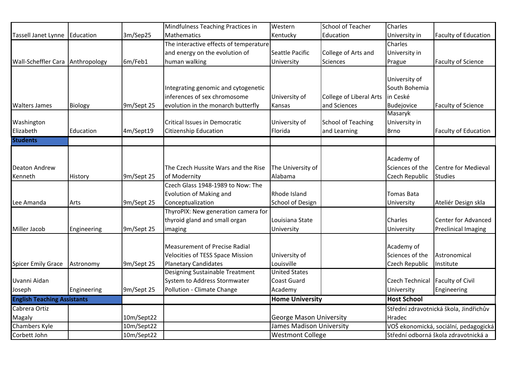| 3m/Sep25<br>Mathematics<br><b>Faculty of Education</b><br>Education<br>Kentucky<br>Education<br>University in<br>The interactive effects of temperature<br>Charles<br>and energy on the evolution of<br>College of Arts and<br>Seattle Pacific<br>University in<br>6m/Feb1<br>human walking<br>Anthropology<br>Faculty of Science<br>University<br>Sciences<br>Prague<br>University of<br>South Bohemia<br>Integrating genomic and cytogenetic<br>inferences of sex chromosome<br>College of Liberal Arts<br>in Ceské<br>University of<br>9m/Sept 25<br>evolution in the monarch butterfly<br>and Sciences<br><b>Faculty of Science</b><br><b>Biology</b><br>Budejovice<br>Kansas<br>Masaryk<br>Washington<br>Critical Issues in Democratic<br>University of<br><b>School of Teaching</b><br>University in<br>Elizabeth<br>4m/Sept19<br><b>Citizenship Education</b><br><b>Faculty of Education</b><br>Education<br>Florida<br>and Learning<br><b>Brno</b><br><b>Students</b><br>Academy of<br>Sciences of the<br>The Czech Hussite Wars and the Rise<br>The University of<br>Centre for Medieval<br><b>Deaton Andrew</b><br>Czech Republic<br>Kenneth<br>9m/Sept 25<br>of Modernity<br>Alabama<br><b>Studies</b><br>History<br>Czech Glass 1948-1989 to Now: The<br>Evolution of Making and<br>Rhode Island<br><b>Tomas Bata</b><br>9m/Sept 25<br>Conceptualization<br>School of Design<br>Ateliér Design skla<br>Lee Amanda<br>Arts<br>University<br>ThyroPIX: New generation camera for<br>thyroid gland and small organ<br>Center for Advanced<br>Louisiana State<br><b>Charles</b><br>Miller Jacob<br>9m/Sept 25<br><b>Preclinical Imaging</b><br>University<br>Engineering<br>imaging<br>University<br>Academy of<br><b>Measurement of Precise Radial</b><br>Sciences of the<br><b>Velocities of TESS Space Mission</b><br>University of<br>Astronomical<br>Louisville<br><b>Spicer Emily Grace</b><br><b>Planetary Candidates</b><br>Czech Republic<br>9m/Sept 25<br>Astronomy<br>Institute<br>Designing Sustainable Treatment<br><b>United States</b><br>System to Address Stormwater<br><b>Faculty of Civil</b><br><b>Coast Guard</b><br><b>Czech Technical</b><br>Uvanni Aidan<br>Pollution - Climate Change<br>Engineering<br>9m/Sept 25<br>Academy<br>Engineering<br>Joseph<br>University<br><b>English Teaching Assistants</b><br><b>Home University</b><br><b>Host School</b><br>Cabrera Ortiz<br>Střední zdravotnická škola, Jindřichův |                            |  | Mindfulness Teaching Practices in | Western | School of Teacher | Charles |  |
|--------------------------------------------------------------------------------------------------------------------------------------------------------------------------------------------------------------------------------------------------------------------------------------------------------------------------------------------------------------------------------------------------------------------------------------------------------------------------------------------------------------------------------------------------------------------------------------------------------------------------------------------------------------------------------------------------------------------------------------------------------------------------------------------------------------------------------------------------------------------------------------------------------------------------------------------------------------------------------------------------------------------------------------------------------------------------------------------------------------------------------------------------------------------------------------------------------------------------------------------------------------------------------------------------------------------------------------------------------------------------------------------------------------------------------------------------------------------------------------------------------------------------------------------------------------------------------------------------------------------------------------------------------------------------------------------------------------------------------------------------------------------------------------------------------------------------------------------------------------------------------------------------------------------------------------------------------------------------------------------------------------------------------------------------------------------------------------------------------------------------------------------------------------------------------------------------------------------------------------------------------------------------------------------------------------------------------------------------------------------------------------------------------------------------------------------------------|----------------------------|--|-----------------------------------|---------|-------------------|---------|--|
|                                                                                                                                                                                                                                                                                                                                                                                                                                                                                                                                                                                                                                                                                                                                                                                                                                                                                                                                                                                                                                                                                                                                                                                                                                                                                                                                                                                                                                                                                                                                                                                                                                                                                                                                                                                                                                                                                                                                                                                                                                                                                                                                                                                                                                                                                                                                                                                                                                                        | <b>Tassell Janet Lynne</b> |  |                                   |         |                   |         |  |
|                                                                                                                                                                                                                                                                                                                                                                                                                                                                                                                                                                                                                                                                                                                                                                                                                                                                                                                                                                                                                                                                                                                                                                                                                                                                                                                                                                                                                                                                                                                                                                                                                                                                                                                                                                                                                                                                                                                                                                                                                                                                                                                                                                                                                                                                                                                                                                                                                                                        |                            |  |                                   |         |                   |         |  |
|                                                                                                                                                                                                                                                                                                                                                                                                                                                                                                                                                                                                                                                                                                                                                                                                                                                                                                                                                                                                                                                                                                                                                                                                                                                                                                                                                                                                                                                                                                                                                                                                                                                                                                                                                                                                                                                                                                                                                                                                                                                                                                                                                                                                                                                                                                                                                                                                                                                        |                            |  |                                   |         |                   |         |  |
|                                                                                                                                                                                                                                                                                                                                                                                                                                                                                                                                                                                                                                                                                                                                                                                                                                                                                                                                                                                                                                                                                                                                                                                                                                                                                                                                                                                                                                                                                                                                                                                                                                                                                                                                                                                                                                                                                                                                                                                                                                                                                                                                                                                                                                                                                                                                                                                                                                                        | <b>Wall-Scheffler Cara</b> |  |                                   |         |                   |         |  |
|                                                                                                                                                                                                                                                                                                                                                                                                                                                                                                                                                                                                                                                                                                                                                                                                                                                                                                                                                                                                                                                                                                                                                                                                                                                                                                                                                                                                                                                                                                                                                                                                                                                                                                                                                                                                                                                                                                                                                                                                                                                                                                                                                                                                                                                                                                                                                                                                                                                        |                            |  |                                   |         |                   |         |  |
|                                                                                                                                                                                                                                                                                                                                                                                                                                                                                                                                                                                                                                                                                                                                                                                                                                                                                                                                                                                                                                                                                                                                                                                                                                                                                                                                                                                                                                                                                                                                                                                                                                                                                                                                                                                                                                                                                                                                                                                                                                                                                                                                                                                                                                                                                                                                                                                                                                                        |                            |  |                                   |         |                   |         |  |
|                                                                                                                                                                                                                                                                                                                                                                                                                                                                                                                                                                                                                                                                                                                                                                                                                                                                                                                                                                                                                                                                                                                                                                                                                                                                                                                                                                                                                                                                                                                                                                                                                                                                                                                                                                                                                                                                                                                                                                                                                                                                                                                                                                                                                                                                                                                                                                                                                                                        |                            |  |                                   |         |                   |         |  |
|                                                                                                                                                                                                                                                                                                                                                                                                                                                                                                                                                                                                                                                                                                                                                                                                                                                                                                                                                                                                                                                                                                                                                                                                                                                                                                                                                                                                                                                                                                                                                                                                                                                                                                                                                                                                                                                                                                                                                                                                                                                                                                                                                                                                                                                                                                                                                                                                                                                        |                            |  |                                   |         |                   |         |  |
|                                                                                                                                                                                                                                                                                                                                                                                                                                                                                                                                                                                                                                                                                                                                                                                                                                                                                                                                                                                                                                                                                                                                                                                                                                                                                                                                                                                                                                                                                                                                                                                                                                                                                                                                                                                                                                                                                                                                                                                                                                                                                                                                                                                                                                                                                                                                                                                                                                                        | <b>Walters James</b>       |  |                                   |         |                   |         |  |
|                                                                                                                                                                                                                                                                                                                                                                                                                                                                                                                                                                                                                                                                                                                                                                                                                                                                                                                                                                                                                                                                                                                                                                                                                                                                                                                                                                                                                                                                                                                                                                                                                                                                                                                                                                                                                                                                                                                                                                                                                                                                                                                                                                                                                                                                                                                                                                                                                                                        |                            |  |                                   |         |                   |         |  |
|                                                                                                                                                                                                                                                                                                                                                                                                                                                                                                                                                                                                                                                                                                                                                                                                                                                                                                                                                                                                                                                                                                                                                                                                                                                                                                                                                                                                                                                                                                                                                                                                                                                                                                                                                                                                                                                                                                                                                                                                                                                                                                                                                                                                                                                                                                                                                                                                                                                        |                            |  |                                   |         |                   |         |  |
|                                                                                                                                                                                                                                                                                                                                                                                                                                                                                                                                                                                                                                                                                                                                                                                                                                                                                                                                                                                                                                                                                                                                                                                                                                                                                                                                                                                                                                                                                                                                                                                                                                                                                                                                                                                                                                                                                                                                                                                                                                                                                                                                                                                                                                                                                                                                                                                                                                                        |                            |  |                                   |         |                   |         |  |
|                                                                                                                                                                                                                                                                                                                                                                                                                                                                                                                                                                                                                                                                                                                                                                                                                                                                                                                                                                                                                                                                                                                                                                                                                                                                                                                                                                                                                                                                                                                                                                                                                                                                                                                                                                                                                                                                                                                                                                                                                                                                                                                                                                                                                                                                                                                                                                                                                                                        |                            |  |                                   |         |                   |         |  |
|                                                                                                                                                                                                                                                                                                                                                                                                                                                                                                                                                                                                                                                                                                                                                                                                                                                                                                                                                                                                                                                                                                                                                                                                                                                                                                                                                                                                                                                                                                                                                                                                                                                                                                                                                                                                                                                                                                                                                                                                                                                                                                                                                                                                                                                                                                                                                                                                                                                        |                            |  |                                   |         |                   |         |  |
|                                                                                                                                                                                                                                                                                                                                                                                                                                                                                                                                                                                                                                                                                                                                                                                                                                                                                                                                                                                                                                                                                                                                                                                                                                                                                                                                                                                                                                                                                                                                                                                                                                                                                                                                                                                                                                                                                                                                                                                                                                                                                                                                                                                                                                                                                                                                                                                                                                                        |                            |  |                                   |         |                   |         |  |
|                                                                                                                                                                                                                                                                                                                                                                                                                                                                                                                                                                                                                                                                                                                                                                                                                                                                                                                                                                                                                                                                                                                                                                                                                                                                                                                                                                                                                                                                                                                                                                                                                                                                                                                                                                                                                                                                                                                                                                                                                                                                                                                                                                                                                                                                                                                                                                                                                                                        |                            |  |                                   |         |                   |         |  |
|                                                                                                                                                                                                                                                                                                                                                                                                                                                                                                                                                                                                                                                                                                                                                                                                                                                                                                                                                                                                                                                                                                                                                                                                                                                                                                                                                                                                                                                                                                                                                                                                                                                                                                                                                                                                                                                                                                                                                                                                                                                                                                                                                                                                                                                                                                                                                                                                                                                        |                            |  |                                   |         |                   |         |  |
|                                                                                                                                                                                                                                                                                                                                                                                                                                                                                                                                                                                                                                                                                                                                                                                                                                                                                                                                                                                                                                                                                                                                                                                                                                                                                                                                                                                                                                                                                                                                                                                                                                                                                                                                                                                                                                                                                                                                                                                                                                                                                                                                                                                                                                                                                                                                                                                                                                                        |                            |  |                                   |         |                   |         |  |
|                                                                                                                                                                                                                                                                                                                                                                                                                                                                                                                                                                                                                                                                                                                                                                                                                                                                                                                                                                                                                                                                                                                                                                                                                                                                                                                                                                                                                                                                                                                                                                                                                                                                                                                                                                                                                                                                                                                                                                                                                                                                                                                                                                                                                                                                                                                                                                                                                                                        |                            |  |                                   |         |                   |         |  |
|                                                                                                                                                                                                                                                                                                                                                                                                                                                                                                                                                                                                                                                                                                                                                                                                                                                                                                                                                                                                                                                                                                                                                                                                                                                                                                                                                                                                                                                                                                                                                                                                                                                                                                                                                                                                                                                                                                                                                                                                                                                                                                                                                                                                                                                                                                                                                                                                                                                        |                            |  |                                   |         |                   |         |  |
|                                                                                                                                                                                                                                                                                                                                                                                                                                                                                                                                                                                                                                                                                                                                                                                                                                                                                                                                                                                                                                                                                                                                                                                                                                                                                                                                                                                                                                                                                                                                                                                                                                                                                                                                                                                                                                                                                                                                                                                                                                                                                                                                                                                                                                                                                                                                                                                                                                                        |                            |  |                                   |         |                   |         |  |
|                                                                                                                                                                                                                                                                                                                                                                                                                                                                                                                                                                                                                                                                                                                                                                                                                                                                                                                                                                                                                                                                                                                                                                                                                                                                                                                                                                                                                                                                                                                                                                                                                                                                                                                                                                                                                                                                                                                                                                                                                                                                                                                                                                                                                                                                                                                                                                                                                                                        |                            |  |                                   |         |                   |         |  |
|                                                                                                                                                                                                                                                                                                                                                                                                                                                                                                                                                                                                                                                                                                                                                                                                                                                                                                                                                                                                                                                                                                                                                                                                                                                                                                                                                                                                                                                                                                                                                                                                                                                                                                                                                                                                                                                                                                                                                                                                                                                                                                                                                                                                                                                                                                                                                                                                                                                        |                            |  |                                   |         |                   |         |  |
|                                                                                                                                                                                                                                                                                                                                                                                                                                                                                                                                                                                                                                                                                                                                                                                                                                                                                                                                                                                                                                                                                                                                                                                                                                                                                                                                                                                                                                                                                                                                                                                                                                                                                                                                                                                                                                                                                                                                                                                                                                                                                                                                                                                                                                                                                                                                                                                                                                                        |                            |  |                                   |         |                   |         |  |
|                                                                                                                                                                                                                                                                                                                                                                                                                                                                                                                                                                                                                                                                                                                                                                                                                                                                                                                                                                                                                                                                                                                                                                                                                                                                                                                                                                                                                                                                                                                                                                                                                                                                                                                                                                                                                                                                                                                                                                                                                                                                                                                                                                                                                                                                                                                                                                                                                                                        |                            |  |                                   |         |                   |         |  |
|                                                                                                                                                                                                                                                                                                                                                                                                                                                                                                                                                                                                                                                                                                                                                                                                                                                                                                                                                                                                                                                                                                                                                                                                                                                                                                                                                                                                                                                                                                                                                                                                                                                                                                                                                                                                                                                                                                                                                                                                                                                                                                                                                                                                                                                                                                                                                                                                                                                        |                            |  |                                   |         |                   |         |  |
|                                                                                                                                                                                                                                                                                                                                                                                                                                                                                                                                                                                                                                                                                                                                                                                                                                                                                                                                                                                                                                                                                                                                                                                                                                                                                                                                                                                                                                                                                                                                                                                                                                                                                                                                                                                                                                                                                                                                                                                                                                                                                                                                                                                                                                                                                                                                                                                                                                                        |                            |  |                                   |         |                   |         |  |
|                                                                                                                                                                                                                                                                                                                                                                                                                                                                                                                                                                                                                                                                                                                                                                                                                                                                                                                                                                                                                                                                                                                                                                                                                                                                                                                                                                                                                                                                                                                                                                                                                                                                                                                                                                                                                                                                                                                                                                                                                                                                                                                                                                                                                                                                                                                                                                                                                                                        |                            |  |                                   |         |                   |         |  |
|                                                                                                                                                                                                                                                                                                                                                                                                                                                                                                                                                                                                                                                                                                                                                                                                                                                                                                                                                                                                                                                                                                                                                                                                                                                                                                                                                                                                                                                                                                                                                                                                                                                                                                                                                                                                                                                                                                                                                                                                                                                                                                                                                                                                                                                                                                                                                                                                                                                        |                            |  |                                   |         |                   |         |  |
|                                                                                                                                                                                                                                                                                                                                                                                                                                                                                                                                                                                                                                                                                                                                                                                                                                                                                                                                                                                                                                                                                                                                                                                                                                                                                                                                                                                                                                                                                                                                                                                                                                                                                                                                                                                                                                                                                                                                                                                                                                                                                                                                                                                                                                                                                                                                                                                                                                                        |                            |  |                                   |         |                   |         |  |
|                                                                                                                                                                                                                                                                                                                                                                                                                                                                                                                                                                                                                                                                                                                                                                                                                                                                                                                                                                                                                                                                                                                                                                                                                                                                                                                                                                                                                                                                                                                                                                                                                                                                                                                                                                                                                                                                                                                                                                                                                                                                                                                                                                                                                                                                                                                                                                                                                                                        |                            |  |                                   |         |                   |         |  |
| 10m/Sept22<br><b>George Mason University</b><br>Hradec                                                                                                                                                                                                                                                                                                                                                                                                                                                                                                                                                                                                                                                                                                                                                                                                                                                                                                                                                                                                                                                                                                                                                                                                                                                                                                                                                                                                                                                                                                                                                                                                                                                                                                                                                                                                                                                                                                                                                                                                                                                                                                                                                                                                                                                                                                                                                                                                 | Magaly                     |  |                                   |         |                   |         |  |
| 10m/Sept22<br><b>James Madison University</b><br>VOŠ ekonomická, sociální, pedagogická                                                                                                                                                                                                                                                                                                                                                                                                                                                                                                                                                                                                                                                                                                                                                                                                                                                                                                                                                                                                                                                                                                                                                                                                                                                                                                                                                                                                                                                                                                                                                                                                                                                                                                                                                                                                                                                                                                                                                                                                                                                                                                                                                                                                                                                                                                                                                                 | Chambers Kyle              |  |                                   |         |                   |         |  |
| <b>Westmont College</b><br>10m/Sept22<br>Střední odborná škola zdravotnická a                                                                                                                                                                                                                                                                                                                                                                                                                                                                                                                                                                                                                                                                                                                                                                                                                                                                                                                                                                                                                                                                                                                                                                                                                                                                                                                                                                                                                                                                                                                                                                                                                                                                                                                                                                                                                                                                                                                                                                                                                                                                                                                                                                                                                                                                                                                                                                          | Corbett John               |  |                                   |         |                   |         |  |